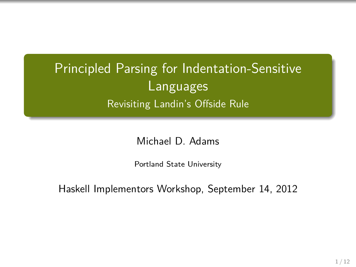Principled Parsing for Indentation-Sensitive Languages Revisiting Landin's Offside Rule

Michael D. Adams

Portland State University

Haskell Implementors Workshop, September 14, 2012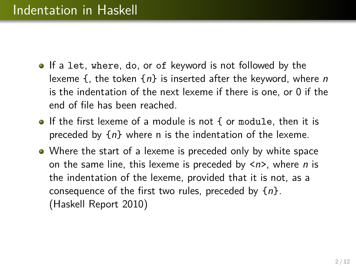- **If a let, where, do, or of keyword is not followed by the** lexeme  $\{$ , the token  $\{n\}$  is inserted after the keyword, where n is the indentation of the next lexeme if there is one, or 0 if the end of file has been reached.
- If the first lexeme of a module is not { or module, then it is preceded by  $\{n\}$  where n is the indentation of the lexeme.
- Where the start of a lexeme is preceded only by white space on the same line, this lexeme is preceded by  $\langle n \rangle$ , where *n* is the indentation of the lexeme, provided that it is not, as a consequence of the first two rules, preceded by  $\{n\}$ . (Haskell Report 2010)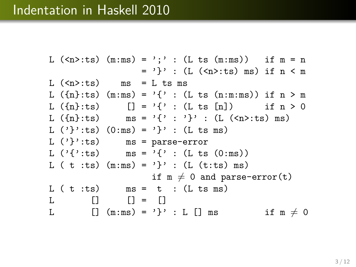# Indentation in Haskell 2010

```
L (\langle n \rangle :ts) (m:ms) = ';' : (L ts (m:ms)) if m = n= '}' : (L (<n>:ts) ms) if n < mL (\langle n \rangle:ts) ms = L ts ms
L (\{n\}:ts) (m:ms) = \{'\{' : (L ts (n:ms)) if n > mL (\{n\}:ts) [] = '{''} : (L ts [n]) if n > 0L (\lbrace n \rbrace : ts) ms = \lbrace \rbrace' : \brace' \rbrace' : (L (\langle n \rangle : ts) \text{ ms})L (')'':ts) (0:ms) = '}'': (L ts ms)
L (')'':ts ms = parse-error
L ('{'}:ts) ms = '{' : (L ts (0:ms))
L ( t :ts) (m:ms) = '}' : (L (t:ts) ms)
                        if m \neq 0 and parse-error(t)
L ( t : ts ) ms = t : (L ts ms)L \qquad [ ] \qquad [ ] = [ ]L \lceil \ln \text{Im}(m:m s) = \n\cdot \} \cdot L \lceil \ln s \rceil if m \neq 0
```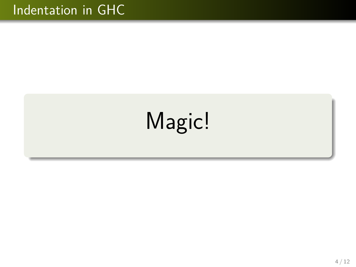# Indentation in GHC

# Magic!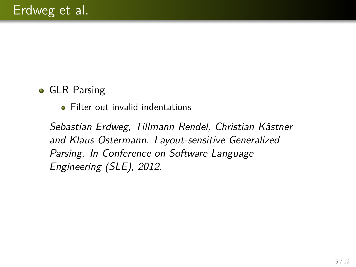## **• GLR Parsing**

• Filter out invalid indentations

Sebastian Erdweg, Tillmann Rendel, Christian Kästner and Klaus Ostermann. Layout-sensitive Generalized Parsing. In Conference on Software Language Engineering (SLE), 2012.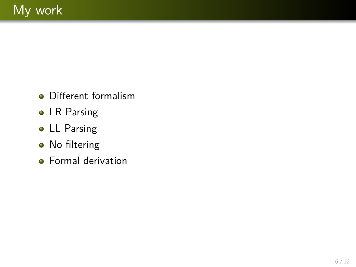- Different formalism
- LR Parsing
- **.** LL Parsing
- No filtering
- **•** Formal derivation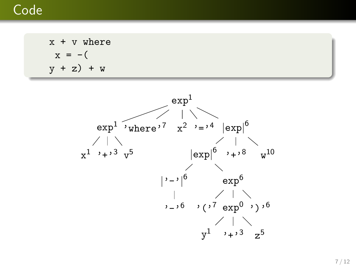# Code

 $x + v$  where  $x = -$ (  $y + z$ ) + w

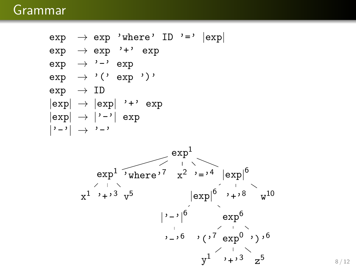# Grammar

 $exp$   $\rightarrow$  exp 'where' ID '='  $|exp|$  $\exp$   $\rightarrow$  exp '+' exp  $\exp$   $\rightarrow$  '-'  $\exp$  $\exp$   $\rightarrow$  '('  $\exp$  ')'  $exp$   $\rightarrow$  ID  $|exp| \rightarrow |exp|$  '+' exp  $|exp| \rightarrow |'-'| exp$  $| \cdot - \cdot |$   $\rightarrow$   $\cdot - \cdot$ 

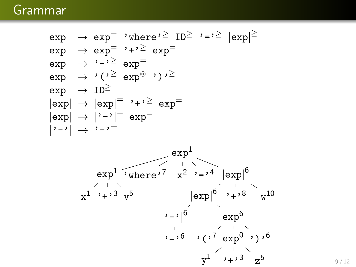# Grammar

$$
\begin{array}{lcl} \mathrm{exp} & \rightarrow \mathrm{exp}^{-} & \cdot \mathrm{where} \, \cdot^{\geq} \mathrm{ID}^{\geq} & \cdot = \cdot^{\geq} |\mathrm{exp}|^{\geq} \\ \mathrm{exp} & \rightarrow \mathrm{exp}^{-} & \cdot + \cdot^{\geq} \mathrm{exp}^{-} \\ \mathrm{exp} & \rightarrow \cdot \cdot \cdot^{\geq} \mathrm{exp}^{-} \\ \mathrm{exp} & \rightarrow \cdot (\cdot^{\geq} \mathrm{exp}^{\circledast} \cdot \cdot ) \cdot^{\geq} \\ \mathrm{exp} & \rightarrow \mathrm{ID}^{\geq} \\ |\mathrm{exp}| & \rightarrow |\mathrm{exp}|^{-} \cdot + \cdot^{\geq} \mathrm{exp}^{-} \\ |\mathrm{exp}| & \rightarrow |\cdot - \cdot|^{-} = \mathrm{exp}^{-} \\ |\cdot - \cdot| & \rightarrow \cdot - \cdot = \end{array}
$$

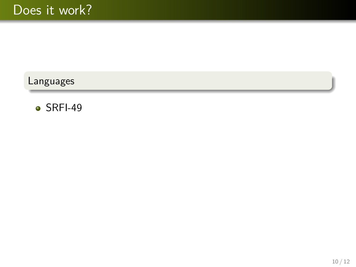$\bullet$  SRFI-49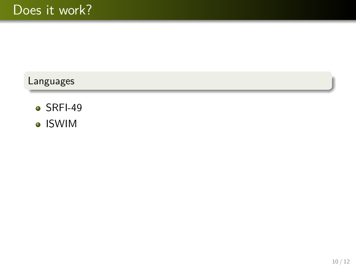- $\bullet$  SRFI-49
- ISWIM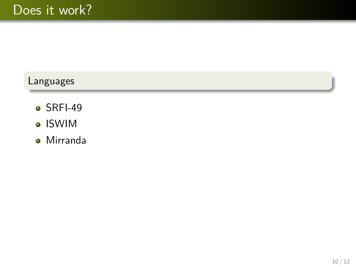- $\bullet$  SRFI-49
- ISWIM
- Mirranda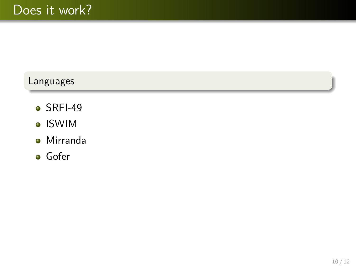- $\bullet$  SRFI-49
- ISWIM
- Mirranda
- **o** Gofer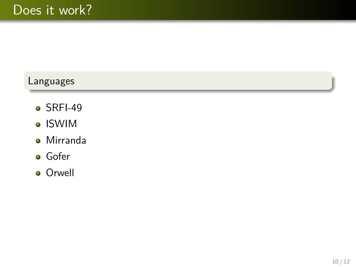- $\bullet$  SRFI-49
- ISWIM
- Mirranda
- **o** Gofer
- **o** Orwell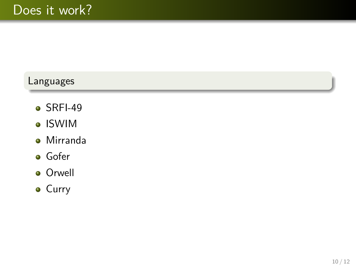- $\bullet$  SRFI-49
- ISWIM
- Mirranda
- **o** Gofer
- **o** Orwell
- **•** Curry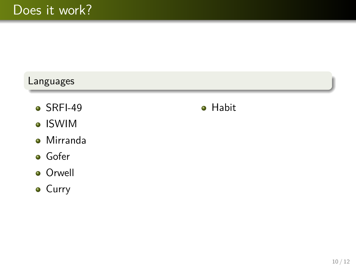- $\bullet$  SRFI-49
- ISWIM
- Mirranda
- **o** Gofer
- **o** Orwell
- **•** Curry

**•** Habit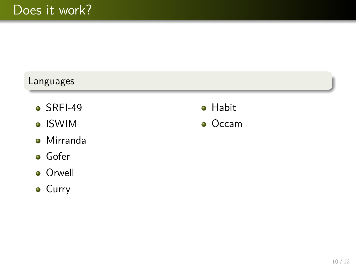- $\bullet$  SRFI-49
- ISWIM
- Mirranda
- **o** Gofer
- **o** Orwell
- **•** Curry
- **•** Habit
- **o** Occam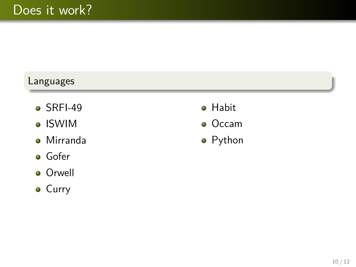- $\bullet$  SRFI-49
- ISWIM
- Mirranda
- **o** Gofer
- **o** Orwell
- **•** Curry
- **•** Habit
- **o** Occam
- **•** Python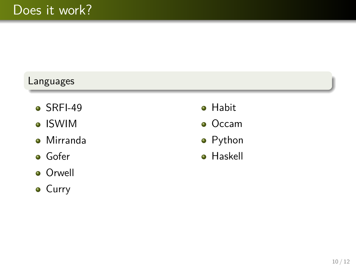- $\bullet$  SRFI-49
- ISWIM
- Mirranda
- **o** Gofer
- **o** Orwell
- **•** Curry
- **•** Habit
- **o** Occam
- **•** Python
- **•** Haskell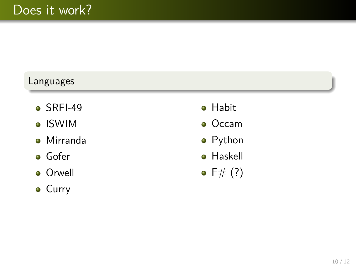- $\bullet$  SRFI-49
- ISWIM
- Mirranda
- **o** Gofer
- **o** Orwell
- **•** Curry
- **•** Habit
- **o** Occam
- **•** Python
- **•** Haskell
- $\bullet$  F# (?)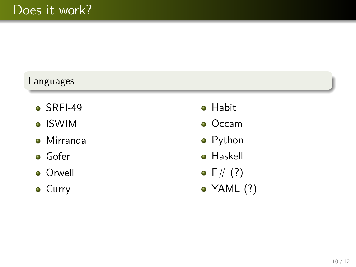- $\bullet$  SRFI-49
- ISWIM
- Mirranda
- **o** Gofer
- **o** Orwell
- **•** Curry
- **•** Habit
- **•** Occam
- **•** Python
- **•** Haskell
- $F# (?)$
- YAML (?)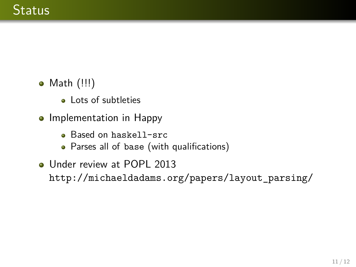- Math (!!!)
	- **a** Lots of subtleties
- Implementation in Happy
	- **Based on haskell-src**
	- Parses all of base (with qualifications)
- **Under review at POPL 2013** http://michaeldadams.org/papers/layout\_parsing/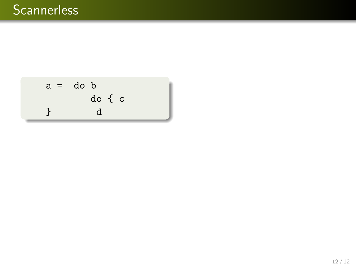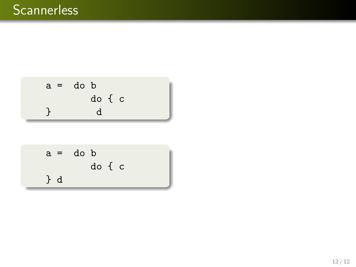

$$
a = do b
$$
\n
$$
do { c}
$$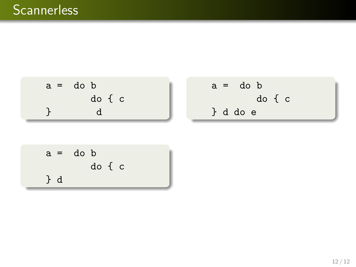

$$
a = do b
$$
\n
$$
do { c}
$$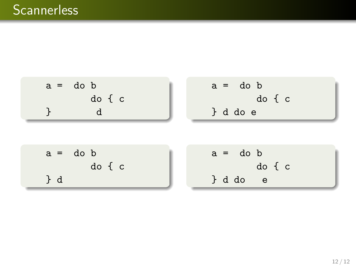